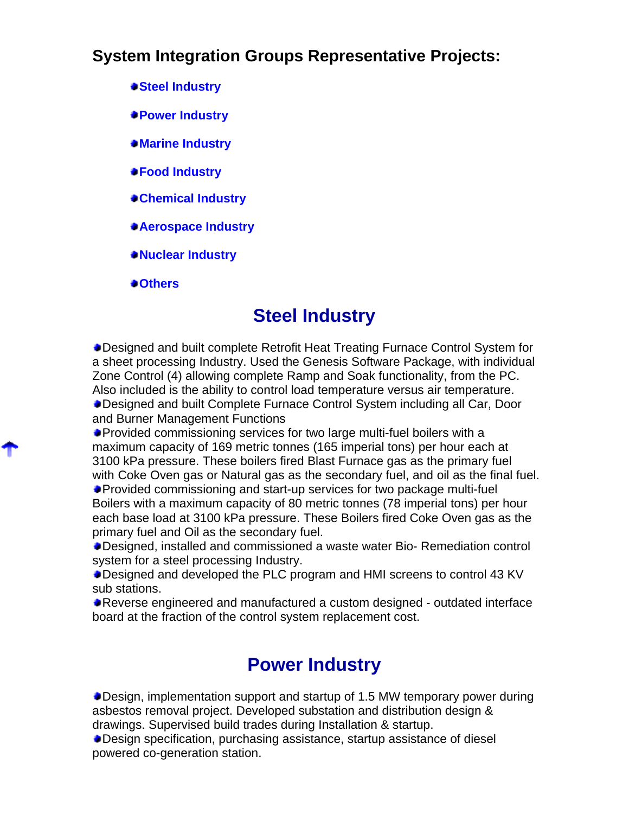### **System Integration Groups Representative Projects:**

- **Steel Industry**
- **Power Industry**
- **Marine Industry**
- **Food Industry**
- **Chemical Industry**
- **Aerospace Industry**
- **Nuclear Industry**

**Others**

#### **Steel Industry**

Designed and built complete Retrofit Heat Treating Furnace Control System for a sheet processing Industry. Used the Genesis Software Package, with individual Zone Control (4) allowing complete Ramp and Soak functionality, from the PC. Also included is the ability to control load temperature versus air temperature. Designed and built Complete Furnace Control System including all Car, Door and Burner Management Functions

Provided commissioning services for two large multi-fuel boilers with a maximum capacity of 169 metric tonnes (165 imperial tons) per hour each at 3100 kPa pressure. These boilers fired Blast Furnace gas as the primary fuel with Coke Oven gas or Natural gas as the secondary fuel, and oil as the final fuel.

Provided commissioning and start-up services for two package multi-fuel Boilers with a maximum capacity of 80 metric tonnes (78 imperial tons) per hour each base load at 3100 kPa pressure. These Boilers fired Coke Oven gas as the primary fuel and Oil as the secondary fuel.

Designed, installed and commissioned a waste water Bio- Remediation control system for a steel processing Industry.

Designed and developed the PLC program and HMI screens to control 43 KV sub stations.

Reverse engineered and manufactured a custom designed - outdated interface board at the fraction of the control system replacement cost.

#### **Power Industry**

Design, implementation support and startup of 1.5 MW temporary power during asbestos removal project. Developed substation and distribution design & drawings. Supervised build trades during Installation & startup.

Design specification, purchasing assistance, startup assistance of diesel powered co-generation station.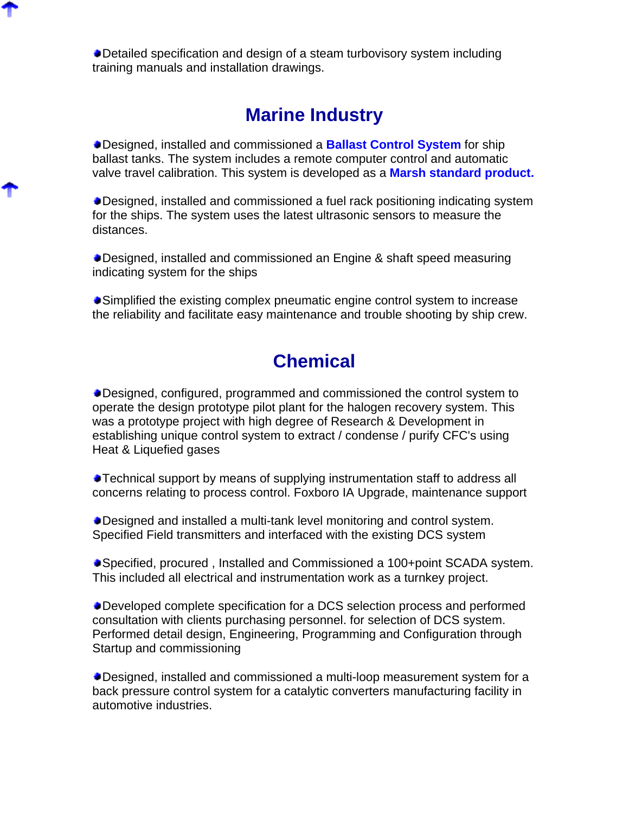Detailed specification and design of a steam turbovisory system including training manuals and installation drawings.

### **Marine Industry**

Designed, installed and commissioned a **Ballast Control System** for ship ballast tanks. The system includes a remote computer control and automatic valve travel calibration. This system is developed as a **Marsh standard product.**

Designed, installed and commissioned a fuel rack positioning indicating system for the ships. The system uses the latest ultrasonic sensors to measure the distances.

Designed, installed and commissioned an Engine & shaft speed measuring indicating system for the ships

Simplified the existing complex pneumatic engine control system to increase the reliability and facilitate easy maintenance and trouble shooting by ship crew.

### **Chemical**

Designed, configured, programmed and commissioned the control system to operate the design prototype pilot plant for the halogen recovery system. This was a prototype project with high degree of Research & Development in establishing unique control system to extract / condense / purify CFC's using Heat & Liquefied gases

Technical support by means of supplying instrumentation staff to address all concerns relating to process control. Foxboro IA Upgrade, maintenance support

Designed and installed a multi-tank level monitoring and control system. Specified Field transmitters and interfaced with the existing DCS system

Specified, procured , Installed and Commissioned a 100+point SCADA system. This included all electrical and instrumentation work as a turnkey project.

Developed complete specification for a DCS selection process and performed consultation with clients purchasing personnel. for selection of DCS system. Performed detail design, Engineering, Programming and Configuration through Startup and commissioning

Designed, installed and commissioned a multi-loop measurement system for a back pressure control system for a catalytic converters manufacturing facility in automotive industries.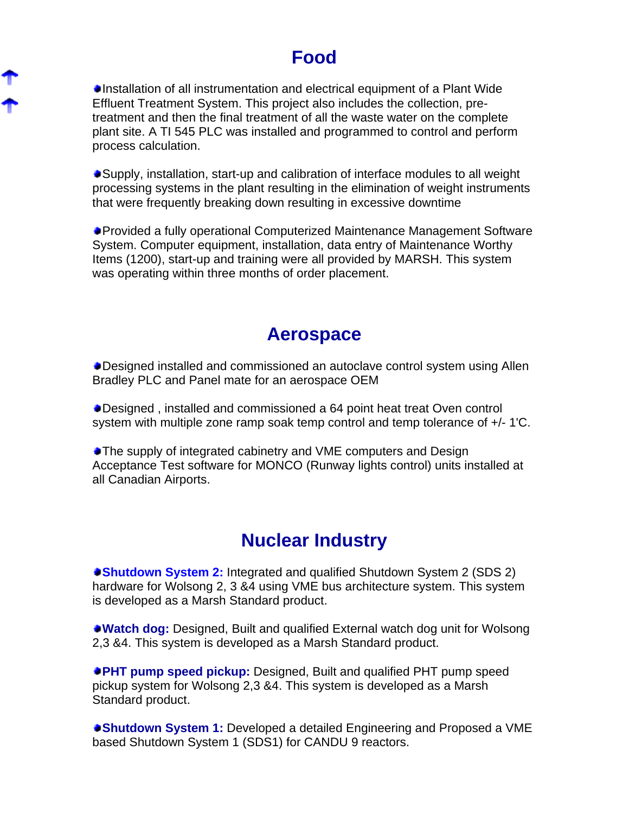## **Food**

Installation of all instrumentation and electrical equipment of a Plant Wide Effluent Treatment System. This project also includes the collection, pretreatment and then the final treatment of all the waste water on the complete plant site. A TI 545 PLC was installed and programmed to control and perform process calculation.

Supply, installation, start-up and calibration of interface modules to all weight processing systems in the plant resulting in the elimination of weight instruments that were frequently breaking down resulting in excessive downtime

Provided a fully operational Computerized Maintenance Management Software System. Computer equipment, installation, data entry of Maintenance Worthy Items (1200), start-up and training were all provided by MARSH. This system was operating within three months of order placement.

#### **Aerospace**

Designed installed and commissioned an autoclave control system using Allen Bradley PLC and Panel mate for an aerospace OEM

Designed , installed and commissioned a 64 point heat treat Oven control system with multiple zone ramp soak temp control and temp tolerance of +/- 1'C.

The supply of integrated cabinetry and VME computers and Design Acceptance Test software for MONCO (Runway lights control) units installed at all Canadian Airports.

### **Nuclear Industry**

**Shutdown System 2:** Integrated and qualified Shutdown System 2 (SDS 2) hardware for Wolsong 2, 3 &4 using VME bus architecture system. This system is developed as a Marsh Standard product.

**Watch dog:** Designed, Built and qualified External watch dog unit for Wolsong 2,3 &4. This system is developed as a Marsh Standard product.

**PHT pump speed pickup:** Designed, Built and qualified PHT pump speed pickup system for Wolsong 2,3 &4. This system is developed as a Marsh Standard product.

**Shutdown System 1:** Developed a detailed Engineering and Proposed a VME based Shutdown System 1 (SDS1) for CANDU 9 reactors.